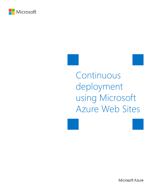

# Continuous deployment using Microsoft Azure Web Sites





Microsoft Azure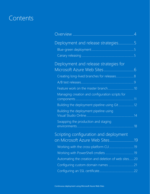# **Contents**

| Overview                                            |        |
|-----------------------------------------------------|--------|
| Deployment and release strategies                   | 5<br>5 |
| Deployment and release strategies for               |        |
|                                                     |        |
| Creating long-lived branches for releases 8         |        |
| A/B test releases.                                  |        |
|                                                     |        |
| Managing creation and configuration scripts for     |        |
| Building the deployment pipeline using Git 12       |        |
| Building the deployment pipeline using              |        |
| Swapping the production and staging                 | .18    |
| Scripting configuration and deployment              |        |
| on Microsoft Azure Web Sites19                      |        |
|                                                     |        |
|                                                     |        |
| Automating the creation and deletion of web sites20 |        |
|                                                     |        |
|                                                     |        |
|                                                     |        |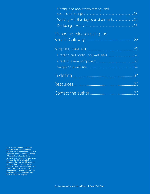| Configuring application settings and |    |
|--------------------------------------|----|
|                                      |    |
|                                      |    |
|                                      |    |
| Managing releases using the          |    |
|                                      |    |
|                                      |    |
|                                      |    |
|                                      |    |
|                                      | 34 |
|                                      | 34 |
|                                      |    |
|                                      | 35 |
|                                      |    |

© 2014 Microsoft Corporation. All rights reserved. This document is provided "as-is." Information and views expressed in this document, including URL and other Internet web site references, may change without notice. You bear the risk of using it. This document does not provide you with any legal rights to any intellectual property in any Microsoft product. You may copy and use this document for your internal, reference purposes. You may modify this document for your internal, reference purposes.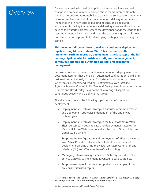### <span id="page-3-0"></span>Overview

Delivering a service instead of shipping software requires a cultural change in how development and operations teams interact. Namely, there has to be joint accountability to deliver the service level agreement (SLA) as one team. A central part of continuous delivery is automation: From checking in new code to building, testing, and deploying, automation is the key to continuously delivering a service. Gone are the days of the waterfall process, where the developer hands the code to the test department, which then hands it to the operations group. It is now one team that is responsible for developing, testing, and operating the service.

**This document discusses how to realize a continuous deployment pipeline using Microsoft Azure Web Sites. To successfully implement such an approach, deployment is the last step of the full delivery pipeline, which consists of configuration management, continuous integration, automated testing, and automated deployment.**

Because it focuses on how to implement continuous deployment, this document assumes that there is an automated configuration, build, and test environment already in place. For detailed information on these latter topics, I recommend reading *Continuous Delivery: Reliable Software Releases through Build, Test, and Deployment Automation* by Jez Humble and David Farley—a great book covering all aspects of continuous delivery and a definite must read!<sup>[1](#page-3-1)</sup>

This document covers the following topics as part of continuous deployment:

- **Deployment and release strategies**: Discusses common release and deployment strategies independent of the underlying technologies.
- **Deployment and release strategies for Microsoft Azure Web Sites**: Discusses in detail release and deployment strategies for Microsoft Azure Web Sites, as well as the use of Git and Microsoft Visual Studio Online.
- **Scripting the configuration and deployment of Microsoft Azure Web Sites**: Provides details on how to build an automated deployment pipeline using the Microsoft Azure Command Line Interface (CLI) and Windows PowerShell scripting.
- **Managing releases using the Service Gateway**: Introduces the Service Gateway to implement advanced release strategies.
- **Scripting example**: Provides a comprehensive example of the previously discussed topics.

 $\overline{a}$ 

<span id="page-3-1"></span><sup>1</sup> Jez Humble and David Farley, *Continuous Delivery: Reliable Software Releases through Build, Test, and Deployment Automation*, Addison-Wesley Professional, August 2010.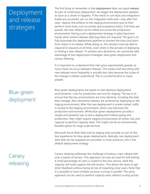# <span id="page-4-0"></span>Deployment and release strategies

# <span id="page-4-1"></span>Blue-green deployment

## <span id="page-4-2"></span>Canary releasing

The first thing to remember is that **deployment** does not equal **release**: As part of continuous deployment, we trigger the deployment pipeline as soon as a check-in happens. If the check-in unit tests and integration builds are successful, we run the integration tests and—only after this step—deploy the artifacts to the staging environment (just to then perform more tests, such as smoke and acceptance tests). If all tests are passed, the new release can be rolled out across the production environment. Having such a deployment strategy in place becomes handy when instant releases (like bug fixes) are required. The goal is to fully automate this deployment pipeline to shorten the time (and pain) from check-in to release. While doing so, the solution must be able to respond to requests at all times, even when in the process of deploying or testing a new release. To achieve zero downtime, we commonly take advantage of two deployment strategies: *blue-green deployment* and *canary releasing*.

It is important to understand that risks grow exponentially greater as more check-ins occur between releases. This means that launching with new releases more frequently is actually less risky because the scope of the changes is better understood. This is counterintuitive to many people.

Blue-green deployments are based on two identical deployment environments—one for production and one for staging. The key is to ensure that the two environments are truly identical, including the data they manage. Zero downtime releases are achieved by deploying to the staging environment. After the new deployment is smoke tested, traffic is routed to the staging environment, which now becomes the production environment. While blue-green deployments provide a simple and powerful way to test a deployment before going into production, they might require staging environments of similar size and capacity to perform capacity tests. This might not be an economically feasible option for large-scale services.

Microsoft Azure Web Sites and its staging slots provide an out-of-thebox experience for blue-green deployments. Basically, two deployment slots that can be swapped are provided. In most scenarios, this is the default deployment strategy.

Canary releasing addresses the challenge of testing a new release with only a subset of servers. This approach can also be used for A/B testing: A small percentage of users is routed to the new service, while the majority still works against the old version. This allows the team to get direct feedback without being at risk of impacting most users. Note that it is possible to have multiple versions running in parallel. The same approach can be used to perform capacity tests without routing actual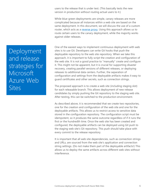users to the release that is under test. (This basically tests the new version in production without routing actual users to it.)

While blue-green deployments are simple, canary releases are more complicated because all instances within a web site are based on the same deployment. In this document, we will discuss the use of a custom router, which acts as a [reverse proxy.](#page-8-1) Using this approach allows us to route certain users to the canary deployment, while the majority works against older releases.

One of the easiest ways to implement continuous deployment with web sites is to use Git. Developers can write Git hooks that push the deployable repository to the web site repository. When we take this approach, it is important to fully script the creation and configuration of the web site. It is not a good practice to "manually" create and configure it. This might not be apparent, but it is crucial for supporting disaster recovery, creating parallel versions of different releases, or deploying releases to additional data centers. Further, the separation of configuration and settings from the deployable artifacts makes it easy to guard certificates and other secrets, such as connection strings.

The proposed approach is to create a web site (including staging slot) for each releasable branch. This allows deployment of new release candidates by simply pushing the Git repository to the staging web site. After testing, this can be switched to the production environment.

As described above, it is recommended that we create two repositories, one for the creation and configuration of the web site and one for the deployable artifacts. This allows us to restrict access to sensitive data stored in the configuration repository. The configuration script must be idempotent, so it produces the same outcome regardless of if it runs the first or the hundredth time. Once the web site has been created and configured, the deployable artifacts can be deployed using Git push to the staging web site's Git repository. This push should take place with every commit to the release repository.

It is important that all web site dependencies, such as connection strings and URLs, are sourced from the web site's application and connection string settings. (Do not make them part of the deployable artifacts!) This allows us to deploy the same artifacts across different web sites without interference.

<span id="page-5-0"></span>Deployment and release strategies for Microsoft Azure Web Sites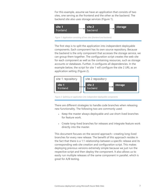For this example, assume we have an application that consists of two sites, one serving as the frontend and the other as the backend. The backend site also uses storage services (Figure 1).



*Figure 1: Application consisting of two sites (frontend and backend)*

The first step is to split the application into independent deployable components. Each component has its own source repository. Because the backend is the only component that accesses the storage service, we can group them together. The configuration script creates the web site for each component as well as the containing resources, such as storage accounts or databases. Further, it configures all dependencies. In the example below, the script for site 1 will configure the site 2 URL as an application setting (Figure 2).



*Figure 2: Splitting an application into independent deployable components*

There are different strategies to handle code branches when releasing new functionality. The following two are commonly used:

- Keep the master always deployable and use short-lived branches for feature work.
- Create long-lived branches for releases and integrate feature work directly into the master.

This document focuses on the second approach—creating long-lived branches for every new release. The benefit of this approach resides in the fact that there is a 1:1 relationship between a specific release and its corresponding web site creation and configuration script. This makes deploying previous versions extremely simple because we just run the respective script and then deploy the component. It also allows us to easily run multiple releases of the same component in parallel, which is great for A/B testing.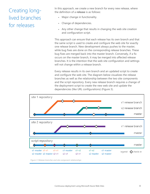### <span id="page-7-0"></span>Creating longlived branches for releases

In this approach, we create a new branch for every new release, where the definition of a **release** is as follows:

- Major change in functionality.
- Change of dependencies.
- Any other change that results in changing the web site creation and configuration script.

This approach can ensure that each release has its own branch and that the same script is used to create and configure the web site for exactly one release branch. New development always pushes to the master, while bug fixes are done on the corresponding release branches. These bug fixes are merged back into the master branch. Conversely, if a fix occurs on the master branch, it may be merged into affected release branches. It is the intention that the web site configuration and settings will not change within a release branch.

Every release results in its own branch and an updated script to create and configure the web site. The diagram below visualizes the release branches as well as the relationship between the two site components and the script repository. Every new release branch requires a change of the deployment script to create the new web site and update the dependencies (like URL configurations) (Figure 3).



*Figure 3: Release branches and site component relationships*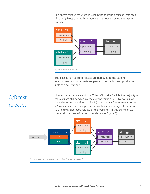The above release structure results in the following release instances (Figure 4). Note that at this stage, we are not deploying the master branch.



Bug fixes for an existing release are deployed to the staging environment, and after tests are passed, the staging and production slots can be swapped.

<span id="page-8-1"></span>Now assume that we want to A/B test V2 of site 1 while the majority of requests are still handled by the current version (V1). To do this, we basically run two versions of site 1 (V1 and V2). After internally testing V2, we can use a reverse proxy that routes a percentage of the requests to the newly deployed release of the web site. (In this example, we routed 0.1 percent of requests, as shown in Figure 5):



*Figure 5: Using a reverse proxy to conduct A/B testing on site 1*

### <span id="page-8-0"></span>A/B test releases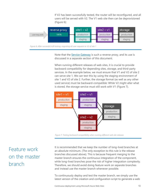If V2 has been successfully tested, the router will be reconfigured, and all users will be served with V2. The V1 web site then can be deprovisioned (Figure 6):



*Figure 6: After successful A/B testing, migrating all user requests to V2 of site 1*

Note that the **Service Gateway** is such a reverse proxy, and its use is discussed in a separate section of this document.

When running different releases of web sites, it is crucial to provide backward compatibility for depending sites, storage, and third-party services. In the example below, we must ensure that V1 and V2 of site 2 can serve site 1. We can test this by using the staging environment of site 1 and V2 of site 2. Further, the storage format (as well as any other used service) must be backward-compatible: While V2 might alter what is stored, the storage service must still work with V1 (Figure 7).



#### *Figure 7: Testing backward compatibility when running different web site releases*

It is recommended that we keep the number of long-lived branches at an absolute minimum. (The only exception to this rule is the release branches discussed above). This is because frequent merging to the master branch ensures the continuous integration of the component, while long-lived branches pose the risk of higher integration complexity. Therefore, we should avoid doing feature work on separate branches and instead use the master branch whenever possible.

To continuously deploy and test the master branch, we simply use the latest version of the creation and configuration script to generate a web

### <span id="page-9-0"></span>Feature work on the master branch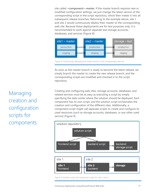site called **<component>-master**. If the master branch requires new or modified configuration settings, we just change the latest version of the corresponding script in the script repository, which then makes it into all subsequent release branches. Returning to the example above, site 1 and site 2 would continuously deploy their master to the corresponding web site. Because these deployments are for test purposes only, it is recommended to work against separate test storage accounts, databases, and services (Figure 8):



*Figure 8: Continuously deploying the master branch to the corresponding web site*

As soon as the master branch is ready to become the latest release, we simply branch the master to create the new release branch, and the corresponding scripts are modified and checked in to the script repository.

Creating and configuring web sites, storage accounts, databases, and related services must be as easy as executing a script by simply specifying the data center where the solution should be deployed. Each component has its own script, and the solution script orchestrates the creation and configuration of the different sites. Additionally, a component script might call separate scripts to create and configure its used resources (such as storage accounts, databases, or any other used service) (Figure 9).



*Figure 9: Solution script and component scripts for sites 1 and 2*

<span id="page-10-0"></span>Managing creation and configuration scripts for components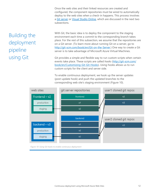Once the web sites and their linked resources are created and configured, the component repositories must be wired to automatically deploy to the web sites when a check-in happens. This process involves a [Git server](#page-11-1) or [Visual Studio Online,](#page-13-1) which are discussed in the next two subsections.

# <span id="page-11-0"></span>Building the deployment pipeline using Git

<span id="page-11-1"></span>With Git, the basic idea is to deploy the component to the staging environment each time a commit to the corresponding branch takes place. For the rest of this subsection, we assume that the repositories are on a Git server. (To learn more about running Git on a server, go to [http://git-scm.com/book/en/Git-on-the-Server.](http://git-scm.com/book/en/Git-on-the-Server)) One way to create a Git server is to take advantage of Microsoft Azure Virtual Machines.

Git provides a simple and flexible way to run custom scripts when certain events take place. These scripts are called *hooks* [\(http://git-scm.com/](http://git-scm.com/book/en/Customizing-Git-Git-Hooks) [book/en/Customizing-Git-Git-Hooks\)](http://git-scm.com/book/en/Customizing-Git-Git-Hooks). Using hooks allows us to run custom scripts for the client and server side.

To enable continuous deployment, we hook up the server updates (post-update hook) and push the updated branches to the corresponding web site's staging environment (Figure 10).



*Figure 10: Using Git hooks to enable continuous deployment*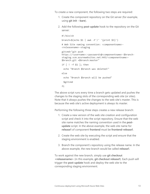To create a new component, the following two steps are required:

- 1. Create the component repository on the Git server (for example, using **git init --bare**).
- 2. Add the following **post-update** hook to the repository on the Git server:

```
#!/bin/sh
branch=$(echo $1 | awk -F'/' '{print $3}')
# Web Site naming convention: <componentname>-
<releasename>-staging
gitcmd="git push 
https://<username>:<password>@<componentname>-$branch-
staging.scm.azurewebsites.net:443/<componentname>-
$branch.git +$branch:master"
if [ ! -f $1 ]; then
 echo "Branch $branch was deleted!"
else
 echo "Branch $branch will be pushed"
 $gitcmd
fi
```
The above script runs every time a branch gets updated and pushes the changes to the staging slots of the corresponding web site (or sites). Note that it always pushes the changes to the web site's master. This is because the web site's active deployment is always its master.

Performing the following three steps creates a new release branch:

- 1. Create a new version of the web site creation and configuration script and check it into the script repository. Ensure that the web site name matches the naming convention used in the **postupdate** script. In the above example, the web site name for **release1** of component **frontend** must be **frontend-release1**.
- 2. Create the web site by executing the script and ensure that the staging environment is enabled.
- 3. Branch the component's repository using the release name. In the above example, the new branch would be called **release1**.

To work against the new branch, simply use **git checkout <releasename>** (in this example, **git checkout release1**). Each push will trigger the **post-update** hook and deploy the web site to the corresponding staging environment.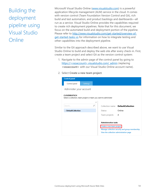# <span id="page-13-0"></span>Building the deployment pipeline using Visual Studio **Online**

<span id="page-13-1"></span>Microsoft Visual Studio Online [\(www.visualstudio.com\)](http://www.visualstudio.com/) is a powerful application lifecycle management (ALM) service in the cloud. It comes with version control (Team Foundation Version Control and Git), rich build and test automation, and product backlogs and dashboards—all run as a service. Visual Studio Online provides the capabilities required to create rich deployment pipelines. Note that for this document, we focus on the automated build and deployment portion of the pipeline. Please refer to [http://www.visualstudio.com/get-started/overview-of](http://www.visualstudio.com/get-started/overview-of-get-started-tasks-vs)[get-started-tasks-vs](http://www.visualstudio.com/get-started/overview-of-get-started-tasks-vs) for information on how to integrate testing and other capabilities into the deployment pipeline.

Similar to the Git approach described above, we want to use Visual Studio Online to build and deploy the web site after every check-in. First, create a team project and select Git as the version control system:

- 1. Navigate to the admin page of the control panel by going to https://<vsoaccount>.visualstudio.com/\_admin (replacing **<vsoaccount>** with our Visual Studio Online account name).
- 2. Select **Create a new team project**.

| <b>Control panel</b>                                                                    |                           |   |                                         |                                                 |  |
|-----------------------------------------------------------------------------------------|---------------------------|---|-----------------------------------------|-------------------------------------------------|--|
| Control panel                                                                           | Settings                  |   |                                         |                                                 |  |
| Administer your account                                                                 |                           |   |                                         |                                                 |  |
| <b>CLOUDBEATSCH</b><br>Select a collection, team project or team you want to administer |                           |   |                                         |                                                 |  |
|                                                                                         |                           | ≺ |                                         |                                                 |  |
| Search                                                                                  |                           | ρ |                                         | Collection name DefaultCollection               |  |
| <b>DefaultCollection</b>                                                                |                           |   | <b>Status</b>                           | Online                                          |  |
|                                                                                         |                           |   | Team projects                           | 4                                               |  |
|                                                                                         |                           |   |                                         |                                                 |  |
|                                                                                         |                           |   | <b>Administration tasks</b>             |                                                 |  |
|                                                                                         | Create a new team project |   |                                         |                                                 |  |
|                                                                                         |                           |   | View the collection administration page | Manage collection security and group membership |  |
|                                                                                         |                           |   |                                         |                                                 |  |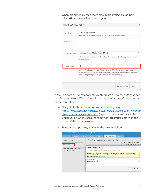3. When prompted by the Create New Team Project dialog box, select **Git** as the version control system.

| CREATE NEW TEAM PROJECT |                                                                                                                                                                                                                                | $\mathbf x$ |
|-------------------------|--------------------------------------------------------------------------------------------------------------------------------------------------------------------------------------------------------------------------------|-------------|
|                         |                                                                                                                                                                                                                                |             |
| Project name            | Messaging-Solution                                                                                                                                                                                                             |             |
|                         | Note: You cannot change the name of your project after you have created it                                                                                                                                                     |             |
| Description             |                                                                                                                                                                                                                                |             |
| Process template        | Microsoft Visual Studio Scrum 2013.2                                                                                                                                                                                           |             |
|                         | This template is for teams who follow the Scrum methodology and use Scrum<br>terminology.                                                                                                                                      |             |
| Version control         | Git                                                                                                                                                                                                                            |             |
|                         | Git is a Distributed Version Control System (DVCS) that uses a local repository to<br>track and version files. Changes are shared with other developers by pushing<br>and pulling changes through a remote, shared repository. |             |
|                         | Cancel<br>Create project                                                                                                                                                                                                       | /i.         |

Now, to create a new component, simply create a new repository as part of this team project. We can do this through the Version Control section of the control panel:

- 4. Navigate to the Version Control section by going to https://<vsoaccount>.visualstudio.com/DefaultCollection/<teampr oject>/\_admin/\_versioncontrol (replacing **<vsoaccount>** with our Visual Studio Online account name and **<teamproject>** with the name of the team project).
- 5. Select **New repository** to create the new repository.

|                                                          | Control panel $\rightarrow$ DefaultCollection $\rightarrow$ Messaging-Solution |       |                                                                                                                      |        |                                                                                                                      |                 |                                                                                                                                                                                                                                                                                                          |
|----------------------------------------------------------|--------------------------------------------------------------------------------|-------|----------------------------------------------------------------------------------------------------------------------|--------|----------------------------------------------------------------------------------------------------------------------|-----------------|----------------------------------------------------------------------------------------------------------------------------------------------------------------------------------------------------------------------------------------------------------------------------------------------------------|
| Overview                                                 | <b>Iterations</b>                                                              | Areas | Security                                                                                                             | Alerts | Version Control                                                                                                      | <b>Services</b> |                                                                                                                                                                                                                                                                                                          |
| Git repositories<br>New repository<br>Messaging-Solution | 4 <b>Messaging-Solution project</b>                                            |       | Add<br>CREATE A NEW GIT REPOSITORY<br>repository to use it in Visual Studio.<br>Repository name<br>Messaging-Backend |        | Project-level security for Messaging-Solution<br>Create a new git repository and add it to the current Team Project. |                 | <b>ACCESS CONTROL SUMMARY</b><br>Shows information about the permiss<br>$\mathbf{x}$<br>Note that some versions of Visual Studio will only provide full Team Explorer integration with a<br>repository that has the same name as the team project. Users may need to manually clone this new<br>$\times$ |
|                                                          |                                                                                |       |                                                                                                                      |        |                                                                                                                      |                 | OK<br>Cancel<br>/ı.                                                                                                                                                                                                                                                                                      |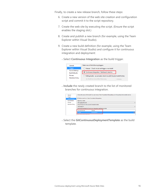Finally, to create a new release branch, follow these steps:

- 6. Create a new version of the web site creation and configuration script and commit it to the script repository.
- 7. Create the web site by executing the script. (Ensure the script enables the staging slot.)
- 8. Create and publish a new branch (for example, using the Team Explorer within Visual Studio).
- 9. Create a new build definition (for example, using the Team Explorer within Visual Studio) and configure it for continuous integration and deployment:
	- Select **Continuous Integration** as the build trigger.

| General                                         | Select one of the following triggers:                                                                                |
|-------------------------------------------------|----------------------------------------------------------------------------------------------------------------------|
| <b>Trigger</b>                                  | ◯ Manual - Check-ins do not trigger a new build                                                                      |
| <b>Source Settings</b><br><b>Build Defaults</b> | © Continuous Integration - Build each check-in                                                                       |
| <b>Process</b><br><b>Retention Policy</b>       | ◯ Rolling builds - accumulate check-ins until the prior build finishes<br>Build no more often than every<br>minutes. |

– **Include** the newly created branch to the list of monitored branches for continuous integration.

| General                 |                                                       |                                                                   | Choose the source of the build. You can choose a Team Foundation Git repository or a Git repository from another service. |
|-------------------------|-------------------------------------------------------|-------------------------------------------------------------------|---------------------------------------------------------------------------------------------------------------------------|
| <b>Trigger</b>          |                                                       |                                                                   |                                                                                                                           |
| <b>Source Settings</b>  |                                                       | Get sources from a Team Foundation Git repository                 |                                                                                                                           |
| <b>Build Defaults</b>   | Repository name:                                      |                                                                   |                                                                                                                           |
| <b>Process</b>          | Messaging-Backend                                     |                                                                   | $\checkmark$                                                                                                              |
| <b>Retention Policy</b> | Default branch for Manual and Scheduled builds:       |                                                                   |                                                                                                                           |
|                         | refs/heads/V1                                         |                                                                   | $\checkmark$                                                                                                              |
|                         |                                                       | Monitored branches for Continuous Integration and Rolling builds: |                                                                                                                           |
|                         | Include/Exclude                                       | <b>Branch</b>                                                     |                                                                                                                           |
|                         | Include                                               | refs/heads/V1                                                     |                                                                                                                           |
|                         | IN WEIGHT NO A REPORT OF DISPLACED BY A REPORT OF THE |                                                                   |                                                                                                                           |

– Select the **GitContinuousDeploymentTemplate** as the build template.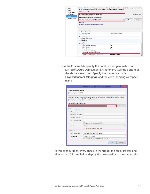| <b>Build process template:</b><br><b>Source Settings</b><br>GitContinuousDeploymentTemplate.12.xaml<br><b>Build Defaults</b><br><b>Process</b><br>Build process file (Windows Workflow XAML):<br><b>Retention Policy</b><br>GitContinuousDeploymentTemplate.12.xaml<br>New<br>v<br><b>Download</b><br>Learn how to customize build process templates<br><b>Build process parameters:</b><br>1 set(s) of tests specified.<br>$\triangleright$ 1. Automated tests<br>$\triangleright$ 2. Advanced<br>4 4. Publish Symbols<br>Path to publish symbols<br>$5.$ Advanced<br>4 6. Deployment<br><sup>4</sup> Deployment | <b>Trigger</b> | can be customized by setting the build process parameters provided by the selected template. | Team Foundation Build uses a build process template defined by a Windows Workflow (XAML) file. The behavior of this template |                |
|-------------------------------------------------------------------------------------------------------------------------------------------------------------------------------------------------------------------------------------------------------------------------------------------------------------------------------------------------------------------------------------------------------------------------------------------------------------------------------------------------------------------------------------------------------------------------------------------------------------------|----------------|----------------------------------------------------------------------------------------------|------------------------------------------------------------------------------------------------------------------------------|----------------|
|                                                                                                                                                                                                                                                                                                                                                                                                                                                                                                                                                                                                                   |                |                                                                                              |                                                                                                                              |                |
|                                                                                                                                                                                                                                                                                                                                                                                                                                                                                                                                                                                                                   |                |                                                                                              |                                                                                                                              | A Hide details |
|                                                                                                                                                                                                                                                                                                                                                                                                                                                                                                                                                                                                                   |                |                                                                                              |                                                                                                                              |                |
|                                                                                                                                                                                                                                                                                                                                                                                                                                                                                                                                                                                                                   |                |                                                                                              |                                                                                                                              |                |
|                                                                                                                                                                                                                                                                                                                                                                                                                                                                                                                                                                                                                   |                |                                                                                              |                                                                                                                              | <b>Refresh</b> |
|                                                                                                                                                                                                                                                                                                                                                                                                                                                                                                                                                                                                                   |                |                                                                                              |                                                                                                                              |                |
|                                                                                                                                                                                                                                                                                                                                                                                                                                                                                                                                                                                                                   |                |                                                                                              |                                                                                                                              |                |
|                                                                                                                                                                                                                                                                                                                                                                                                                                                                                                                                                                                                                   |                |                                                                                              |                                                                                                                              |                |
|                                                                                                                                                                                                                                                                                                                                                                                                                                                                                                                                                                                                                   |                |                                                                                              |                                                                                                                              |                |
|                                                                                                                                                                                                                                                                                                                                                                                                                                                                                                                                                                                                                   |                |                                                                                              |                                                                                                                              |                |
|                                                                                                                                                                                                                                                                                                                                                                                                                                                                                                                                                                                                                   |                |                                                                                              |                                                                                                                              |                |
|                                                                                                                                                                                                                                                                                                                                                                                                                                                                                                                                                                                                                   |                |                                                                                              |                                                                                                                              |                |
| <b>True</b><br><b>Allow Untrusted Certificates</b><br><b>True</b>                                                                                                                                                                                                                                                                                                                                                                                                                                                                                                                                                 |                |                                                                                              |                                                                                                                              |                |
| <b>Allow Upgrade</b><br><b>True</b><br>Do Not Delete                                                                                                                                                                                                                                                                                                                                                                                                                                                                                                                                                              |                |                                                                                              |                                                                                                                              |                |
|                                                                                                                                                                                                                                                                                                                                                                                                                                                                                                                                                                                                                   |                |                                                                                              |                                                                                                                              |                |
| Path to Deployment Settings                                                                                                                                                                                                                                                                                                                                                                                                                                                                                                                                                                                       |                |                                                                                              |                                                                                                                              |                |
| SharePoint Deployment Environment                                                                                                                                                                                                                                                                                                                                                                                                                                                                                                                                                                                 |                |                                                                                              |                                                                                                                              |                |

– In the **Process** tab, specify the build process parameters for Microsoft Azure Deployment Environment. (See the bottom of the above screenshot). Specify the staging web site [**<websitename>(staging)**] and the corresponding webspace name.

|                             | <b>Windows Azure Deployment Settings</b>                                                                                                    | p      | $\mathsf{x}$ |
|-----------------------------|---------------------------------------------------------------------------------------------------------------------------------------------|--------|--------------|
| Deployment settings name:   |                                                                                                                                             |        |              |
| Messaging-Backend-V1        |                                                                                                                                             |        |              |
| Download subscription file  | Select the Windows Azure subscription to use for deployment. You can download and import<br>your information from the Windows Azure portal. |        |              |
| Windows Azure subscription: |                                                                                                                                             |        |              |
|                             |                                                                                                                                             | Import |              |
| Online privacy statement    |                                                                                                                                             |        |              |
| Cloud service               |                                                                                                                                             |        |              |
| Cloud service name:         |                                                                                                                                             |        |              |
| Storage account:            |                                                                                                                                             |        |              |
| Deployment label:           |                                                                                                                                             |        |              |
|                             | Append current date and time                                                                                                                |        |              |
| Environment                 | Staging                                                                                                                                     |        |              |
|                             | Allow deployment upgrade                                                                                                                    |        |              |
| Web site                    |                                                                                                                                             |        |              |
| Web site name:              | Messaging-Backend-V1(staging)                                                                                                               |        |              |
| Webspace:                   | westeuropewebspace                                                                                                                          |        |              |
|                             | List of Geo Region and Webspace names                                                                                                       |        |              |
|                             | OK                                                                                                                                          | Cancel |              |

In this configuration, every check-in will trigger the build process and, after successful completion, deploy the new version to the staging slot.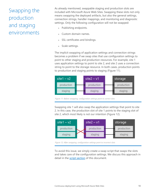# <span id="page-17-0"></span>Swapping the production and staging environments

As already mentioned, swappable staging and production slots are included with Microsoft Azure Web Sites. Swapping these slots not only means swapping the deployed artifacts, but also the general settings, connection strings, handler mappings, and monitoring and diagnostic settings. Only the following configuration will not be swapped:

- Publishing endpoints.
- Custom domain names.
- SSL certificates and bindings.
- Scale settings.

The implicit swapping of application settings and connection strings becomes a problem if we swap sites that use configuration settings to point to other staging and production resources. For example, site 1 uses application settings to point to site 2, and site 2 uses a connection string to point to the storage resource. In both cases, production points to production and staging points to staging (Figure 11).



*Figure 11: Before swapping, configuration settings point to correct slots*

Swapping site 1 will also swap the application settings that point to site 2. In this case, the production slot of site 1 points to the staging slot of site 2, which most likely is not our intention (Figure 12).



*Figure 12: After swapping, configuration settings point to incorrect slots*

To avoid this issue, we simply create a swap script that swaps the slots and takes care of the configuration settings. We discuss this approach in detail in the [script section](#page-30-1) of this document.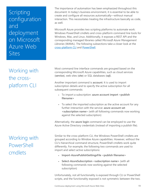<span id="page-18-0"></span>Scripting configuration and deployment on Microsoft Azure Web Sites

<span id="page-18-1"></span>Working with the crossplatform CLI

<span id="page-18-2"></span>Working with PowerShell cmdlets

The importance of automation has been emphasized throughout this document: In today's business environment, it is essential to be able to create and configure all resources automatically—without manual interaction. This necessitates treating the infrastructure basically as code, as well.

Microsoft Azure provides two scripting platforms to automate work: Windows PowerShell cmdlets and cross-platform command line tools for Windows, Mac, and Linux. Additionally, it exposes a REST API and the corresponding managed libraries called *Microsoft Azure Management Libraries* (WAML). The following subsections take a closer look at the [cross-platform CLI](#page-18-3) and [PowerShell.](#page-18-4)

<span id="page-18-3"></span>Most command line interface commands are grouped based on the corresponding Microsoft Azure capabilities, such as cloud services (**service**), web sites (**site**) or SQL databases (**sql**).

Another important command is **account**. It is used to import subscription details and to specify the active subscription for all subsequent commands:

- To import a subscription: **azure account import <publish filename>**
- To select the imported subscription as the active account for any further interaction with the service: **azure account set <subscription name>** (with all following commands now working against the selected subscription)

Alternatively, the **azure login** command can be employed to use the Azure Active Directory credentials (instead of importing a publish file).

<span id="page-18-4"></span>Similar to the cross-platform CLI, the Windows PowerShell cmdlets are grouped according to Window Azure capabilities. However, without the CLI's hierarchical command structure, PowerShell cmdlets work quite differently. For example, the following two commands are used to import and select active subscriptions:

- **Import-AzurePublishSettingsFile <publish filename>**
- **Select-AzureSubscription <subscription name>** (with all following commands now working against the selected subscription)

Unfortunately, not all functionality is exposed through CLI or PowerShell scripts, and the functionality exposed is not symmetric between the two.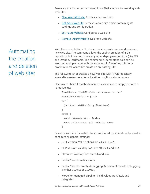Below are the four most important PowerShell cmdlets for working with web sites:

- [New-AzureWebsite:](http://msdn.microsoft.com/en-us/library/windowsazure/dn495157.aspx) Creates a new web site.
- [Get-AzureWebsite:](http://msdn.microsoft.com/en-us/library/windowsazure/dn495127.aspx) Retrieves a web site object containing its settings and configuration.
- [Set-AzureWebsite:](http://msdn.microsoft.com/en-us/library/windowsazure/dn495207.aspx) Configures a web site.
- [Remove-AzureWebsite:](http://msdn.microsoft.com/en-us/library/windowsazure/dn495151.aspx) Deletes a web site.

With the cross-platform CLI, the **azure site create** command creates a new web site. The command allows the explicit creation of a Git repository, but does not make any other deployment options (like TFS and Dropbox) scriptable. The command is idempotent, so it can be executed multiple times with the same result. Therefore, it is not a problem to call **azure site create** on an existing site.

The following script creates a new web site with its Git repository: **azure site create --location <location> --git <website name>**

One way to check if a web site name is available is to simply perform a name lookup:

```
$HostName = "$WebSiteName .azurewebsites.net"
$WebSiteNameExists = $True
try {
 [net.dns]::GetHostEntry($HostName)
}
catch {
 $WebSiteNameExists = $False
 azure site create –git <website name>
}
```
Once the web site is created, the **azure site set** command can be used to configure its general settings:

- **.NET version**: Valid options are v3.5 and v4.5.
- **PHP version**: Valid options are off, v5.3, and v5.4.
- **Platform**: Valid options are x86 and x64.
- Enable/disable **web sockets**.
- Enable/disable **remote debugging**. (Version of remote debugging is either VS2012 or VS2013.)
- Mode for **managed pipeline**: Valid values are Classic and Integrated.

<span id="page-19-0"></span>Automating the creation and deletion of web sites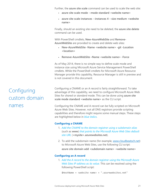Further, the **azure site scale** command can be used to scale the web site:

- **azure site scale mode --mode standard <website name>**
- **azure site scale instances --instances 4 --size medium <website name>**

Finally, should an existing site need to be deleted, the **azure site delete** command can be used.

With PowerShell cmdlets, **New-AzureWebSite** and **Remove-AzureWebSite** are provided to create and delete web sites:

- **New-AzureWebSite -Name <website name> -git -Location <location>**
- **Remove-AzureWebSite –Name <website name> -Force**

As of May 2014, there is no simple way to define scale mode and instance size using Microsoft Azure Service Management PowerShell cmdlets. While the PowerShell cmdlets for Microsoft Azure Resource Manager provide this capability, Resource Manager is still in preview and is not covered in this document.

Configuring a CNAME or an A record is fairly straightforward. To take advantage of this capability, we need to configure Microsoft Azure Web Sites for *shared* or *standard* mode. This can be done using **azure site scale mode standard <website name>** as the CLI script.

Configuring the CNAME and A record can be fully scripted on Microsoft Azure Web Sites. However, not all DNS registrars provide scripting capabilities and therefore might require some manual steps. These steps are highlighted below in *blue italics*.

#### **Configuring a CNAME**

- 1. *Add the CNAME to the domain registrar using a subdomain alias* (such as **www**) *that points to the Microsoft Azure Web Sites default site URL* (**<mysite>.azurewebsites.net**).
- 2. To add the subdomain name (for example, www.cloudbeatsch.net) to Microsoft Azure Web Sites, use the following CLI script: **azure site domain add <subdomain name> <website name>**

#### **Configuring an A record**

1. *Add the A record to the domain registrar using the Microsoft Azure Web Sites IP address as its value.* This can be resolved using the following PowerShell script:

\$HostName = <website name> + ".azurewebsites.net"

# <span id="page-20-0"></span>Configuring custom domain names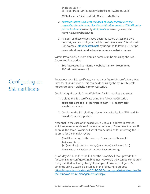\$AddressList = @(([net.dns]::GetHostEntry(\$HostName)).AddressList)

\$IPAddress = \$AddressList.IPAddressToString

- 2. *Microsoft Azure Web Sites will need to verify that we own the respective domain name. For this verification, create a CNAME entry for the hostname* **awverify** *that points to* **awverify.<website name>.azurewebsites.net**.
- 3. As soon as these values have been replicated across the DNS network, we can configure the Microsoft Azure Web Sites domain (for example, cloudbeatsch.net) by using the following CLI script: **azure site domain add <domain name> <website name>**

Within PowerShell, custom domain names can be set using the **Set-AzureWebSite** cmdlet:

 **Set-AzureWebSite -Name <website name> -Hostnames @("<domain name>")**

To use our own SSL certificate, we must configure Microsoft Azure Web Sites for *standard* mode. This can be done using the **azure site scale mode standard <website name>** CLI script.

Configuring Microsoft Azure Web Sites for SSL requires two steps:

- 1. Upload the SSL certificate using the following CLI script: **azure site cert add -c <certificate path> -k <password> <website name>**
- 2. Configure the SSL bindings. Server Name Indication (SNI) and IPbased SSL are supported.

Note that in the case of IP-based SSL, a virtual IP address is created, which requires an update of the related A record. To retrieve the new IP address, the same PowerShell script can be used as for retrieving the IP address for the initial A record:

```
$HostName = <website name> + ".azurewebsites.net"
$AddressList = 
@(([net.dns]::GetHostEntry($HostName)).AddressList)
$IPAddress = $AddressList.IPAddressToString
```
As of May 2014, neither the CLI nor the PowerShell tools provide the functionality to configure SSL bindings. However, they can be configured using the REST API. A lightweight example of how to configure SSL bindings using Guzzle is discussed in the following blog post: [http://blog.syntaxc4.net/post/2014/02/22/using-guzzle-to-interact-with](http://blog.syntaxc4.net/post/2014/02/22/using-guzzle-to-interact-with-the-windows-azure-management-api.aspx)[the-windows-azure-management-api.aspx.](http://blog.syntaxc4.net/post/2014/02/22/using-guzzle-to-interact-with-the-windows-azure-management-api.aspx)

### <span id="page-21-0"></span>Configuring an SSL certificate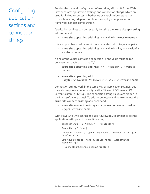# <span id="page-22-0"></span>Configuring application settings and connection strings

Besides the general configuration of web sites, Microsoft Azure Web Sites separates application settings and connection strings, which are used for linked resources. Whether we use application settings or connection strings depends on how the deployed application or framework handles configuration.

Application settings can be set easily by using the **azure site appsetting add** command:

**azure site appsetting add <key1>=<value1> <website name>**

It is also possible to add a semicolon-separated list of key/value pairs:

 **azure site appsetting add <key1>=<value1>;<key2>=<value2> <website name>**

If one of the values contains a semicolon (;), the value must be put between two backslash marks ("\"):

- **azure site appsetting add <key1>="\"<value;1>"\" <website name>**
- **azure site appsetting add <key1>="\"<value;1>"\";<key2>="\"<va;2>"\" <website name>**

Connection strings work in the same way as application settings, but they also require a connection type (like Microsoft SQL Azure, SQL Server, Custom, or MySql). The connection string values are hidden in the Microsoft Azure portal. To add a connection string, we can use the **azure site connectionstring add** command:

 **azure site connectionstring add <connection name> <value> <type> <website name>**

With PowerShell, we can use the **Set-AzureWebSite cmdlet** to set the application settings and connection strings:

```
$appSetting = @{``key1>}" = "values1>}"$connStringInfo = @{
 Name = "<key1>"; Type = "SQLAzure"; ConnectionString = 
"<value1>" }
Set-AzureWebsite -Name <website name> -AppSettings 
$appSettings `
 -ConnectionStrings $connStringInfo
```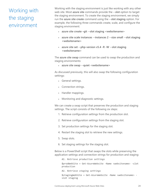## <span id="page-23-0"></span>Working with the staging environment

Working with the staging environment is just like working with any other web site. Most **azure site** commands provide the **--slot** option to target the staging environment. To create the staging environment, we simply run the **azure site create** command using the **--slot staging** option. For example, the following three commands create, scale, and configure the staging environment:

- **azure site create –git --slot staging <websitename>**
- **azure site scale instances --instances 2 --size small --slot staging <websitename>**
- **azure site set --php-version v5.4 -R -W --slot staging <websitename>**

The **azure site swap** command can be used to swap the production and staging environments:

**azure site swap --quiet <websitename>**

As discussed previously, this will also swap the following configuration settings:

- General settings.
- Connection strings.
- Handler mappings.
- Monitoring and diagnostic settings.

We can create a swap script that preserves the production and staging settings. The script consists of the following six steps:

- 1. Retrieve configuration settings from the production slot.
- 2. Retrieve configuration settings from the staging slot.
- 3. Set production settings for the staging slot.
- 4. Restart the staging slot to retrieve the new settings.
- 5. Swap slots.
- 6. Set staging settings for the staging slot.

Below is a PowerShell script that swaps the slots while preserving the application settings and connection strings for production and staging:

*#1. Retrieve production settings* \$prodWebSite = Get-AzureWebsite -Name <websitename> -slot production *#2. Retrieve staging settings* \$stagingWebSite = Get-AzureWebsite -Name <websitename> slot staging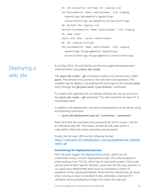*#3. Set production settings for staging slot* Set-AzureWebsite -Name <websitename> -slot staging` -AppSettings \$prodWebSite.AppSettings` -ConnectionStrings \$prodWebSite.ConnectionStrings *#4. Restart the staging slot* Restart-AzureWebsite -Name <websitename> -slot staging *#5. Swap slots* azure site swap --quiet <websitename> *#6. Set staging settings* Set-AzureWebsite -Name <websitename> -slot staging` -AppSettings \$stagingWebSite.AppSettings` -ConnectionStrings \$stagingWebSite.ConnectionStrings

As of May 2014, Git and GitHub are the two supported deployment methods when using **azure site create**.

The **azure site create --git** command creates a Git remote entry called **azure**. This remote entry points to the web site's Git repository. The simplest way to deploy is by pushing the local repo to the remote **azure** entry through the **git push azure <your branch>** command.

To create a Git repository for an already existing site, we can just rerun the **azure site create --git** command. This will create the Git repo if it is not already there.

In addition, the deployment username and password can be set by using the following command:

**azure site deployment user set <username> <password>**

Note here that the username and password are set for a user—not for an individual web site. This means all that all web sites within a subscription share the same username and password.

Finally, the Git repo URL has the following format: https://<username>@<websitename>.scm.azurewebsites.net/<website name>.git.

#### **Customizing the deployment process**

Each Git push triggers the deployment process, which can be customized using a custom deployment script. (The only exception is when pushing from TFS Git, which has its own build system.) This script can be used to fetch specific libraries, customize the file copy process, or run quick post-deployment tests (such as consistency checks or validation of file signatures/hashes). Note that this should only be done when running in *basic* or *standard* mode; otherwise, a lasting CPU utilization during deployment might shut down the web site.

#### <span id="page-24-0"></span>Deploying a web site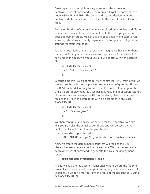Creating a custom script is as easy as running the **azure site deploymentscript** command for the required target platforms (such as node, ASP.NET, and PHP). The command creates **.deployment** and **deploy.cmd** files, which must be added to the root of the local source repo.

To customize the default deployment, simply edit the **deploy.cmd** file. In essence, it consists of pre-deployment, build (for .NET projects), and post-deployment steps. We can use the post-deployment step to run some high-level tests to verify deployment or to update configuration settings for static web pages.

Taking a closer look at the later example, imagine we have an **ember.js** framework (or any other static client web application) that calls a REST backend. In this case, we would use a REST adapter within the **store.js** file:

```
DS.RESTAdapter.reopen({
 url: "http://backendurl"
});
```
Because ember.js is a client model-view-controller (MVC) framework, we cannot use the web site's application settings to configure the URL for the REST backend. One way to overcome this issue is to configure the URL as a pre-deployment task. We basically read the application settings of the web site and change the URL in the store.js file. To do so, we first replace the URL in the store.js file with a placeholder (in this case, **BACKEND\_URL**):

```
DS.RESTAdapter.reopen({
 url: "BACKEND_URL"
});
```
We then configure an application setting for the respective web site. This setting holds the actual backend URL and will be used by the deployment script to replace the placeholder:

 **azure site appsetting add BACKEND\_URL=https://mybackendurl.com <website name>**

Next, we create the deployment script that will replace the URL placeholder each time we deploy the web site. We use the **azure site deploymentscript** command to generate the skeleton deployment script:

**azure site deploymentscript –basic**

Finally, we add the replacement functionality right before the file sync takes place. The values of the application settings are defined as script variables, so we can simply retrieve the value of the backend URL using **% BACKEND\_URL%**.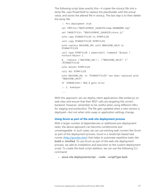The following script does exactly this—it copies the store.js file into a temp file, uses PowerShell to replace the placeholder with the actual value, and stores the altered file in store.js. The last step is to then delete the temp file.

:: Pre deployment stub set TMPFILE="%DEPLOYMENT SOURCE%\temp-%RANDOM%.tmp" set TARGETFILE= "%DEPLOYMENT\_SOURCE%\store.js" echo copy %TARGETFILE% to %TMPFILE% call copy %TARGETFILE% %TMPFILE% echo replace BACKEND\_URL with %BACKEND\_URL% in %TARGETFILE% call type %TMPFILE% | powershell -Command "\$input | ForEach-Object { \$\_ -replace \"BACKEND\_URL\", \"%BACKEND\_URL%\" }" >%TARGETFILE% echo delete %TMPFILE% call del %TMPFILE% echo BACKEND\_URL in "%TARGETFILE%" has been replaced with "%BACKEND\_URL%" IF !ERRORLEVEL! NEQ 0 goto error :: 2. KuduSync ...

With this approach, we can deploy client applications (like ember.js) on web sites and ensure that their REST calls are targeting the correct backend. However, remember to be careful when using different URLs for staging and production: The file gets updated when a new version is deployed—but not when slots swap or application settings change.

#### **Using Grunt as part of the web site deployment process**

With a larger number of dependencies or additional pre-deployment tasks, the above approach can become cumbersome and unmanageable. In such cases, we can use existing task runners like Grunt as part of the deployment process. Grunt is a JavaScript-based task runner [\(http://gruntjs.com/\)](http://gruntjs.com/) that helps to automate repetitive tasks like **build** or **minified**. To use Grunt as part of the web site deployment process, we add its installation and execution to the custom deployment script. To create the bash script skeleton, we can use the following CLI command:

**azure site deploymentscript --node --scriptType bash**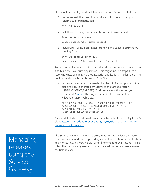The actual pre-deployment task to install and run Grunt is as follows:

1. Run **npm install** to download and install the node packages referred to in **package.json**.

\$NPM\_CMD install

2. Install bower using **npm install bower** and **bower install**.

\$NPM\_CMD install bower

./node\_modules/.bin/bower install

3. Install Grunt using **npm install grunt-cli** and execute **grunt** tasks running Grunt.

\$NPM\_CMD install grunt-cli ./node modules/.bin/grunt --no-color build

So far, the deployment script has installed Grunt on the web site and run it to build the JavaScript application. (This might include steps such as resolving URLs or minifying the JavaScript application.) The last step is to deploy the distributable files using Kudu Sync:

4. In the following example, we deploy the minified scripts from the dist directory (generated by Grunt) to the target directory ("\$DEPLOYMENT\_TARGET"). To do so, we use the **kudu sync** command. [\(Kudu](https://github.com/projectkudu/kudu) is the engine behind Git deployments in Microsoft Azure Web Sites.)

"\$KUDU SYNC CMD" -v 500 -f "\$DEPLOYMENT SOURCE/dist" -t "\$DEPLOYMENT\_TARGET" -n "\$NEXT\_MANIFEST\_PATH" -p "\$PREVIOUS\_MANIFEST\_PATH" -i ".git;.hg;.deployment;deploy.sh"

A more detailed description of this approach can be found in Jay Harris's blog: [http://www.cptloadtest.com/2013/12/03/Git-And-Grunt-Deploy-](http://www.cptloadtest.com/2013/12/03/Git-And-Grunt-Deploy-To-Windows-Azure.aspx)[To-Windows-Azure.aspx.](http://www.cptloadtest.com/2013/12/03/Git-And-Grunt-Deploy-To-Windows-Azure.aspx)

<span id="page-27-1"></span>The Service Gateway is a reverse proxy that runs as a Microsoft Azure cloud service. In addition to providing capabilities such as authentication and monitoring, it is very helpful when implementing A/B testing. It also offers the functionality needed to use one custom domain name across multiple releases.

<span id="page-27-0"></span>Managing releases using the **Service Gateway**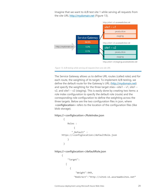Imagine that we want to A/B test site 1 while serving all requests from the site URL [http://mydomain.net](http://mydomain.net/) (Figure 13).





The Service Gateway allows us to define URL routes (called *roles*) and for each route, the weighting of its target. To implement A/B testing, we define the default route for the Gateway's URL (http://mydomain.net) and specify the weighting for the three target sties—site1 –  $v1$ , site1 –  $v^2$ , and site1 –  $v^2$  (staging). This is easily done by creating two items: a role index configuration to specify the default role (route) and the corresponding role configuration to define the weighting across the three targets. Below are the two configuration files in json, where **<configlocation>** refers to the location of the configuration files (like blob storage).

#### **https://<configlocation>/RoleIndex.json**

```
{
           Roles : 
      \{ "_Default" : 
     https://<configlocation>/defaultRole.json
           }
       }
https://<configlocation>/defaultRole.json
     {
           "Target":
         \lceil {
                  "Weight":949,
                "Redirect":"http://site1–v1.azurewebsites.net"
```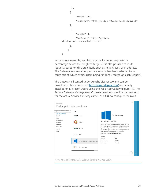```
 },
        {
             "Weight":50,
             "Redirect":"http://site1–v2.azurewebsites.net" 
        },
         {
             "Weight":1,
             "Redirect":"http://site1–
v2(staging).azurewebsites.net" 
        },
      ]
}
```
In the above example, we distribute the incoming requests by percentage across the weighted targets. It is also possible to route requests based on discrete criteria such as tenant, user, or IP address. The Gateway ensures affinity once a session has been selected for a route target, which avoids users being randomly routed on each request.

The Gateway is licensed under Apache License 2.0 and can be downloaded from CodePlex [\(https://sg.codeplex.com/\)](https://sg.codeplex.com/) or directly installed on Microsoft Azure using the Web App Gallery (Figure 14). The Service Gateway Management Console provides one-click deployment for the actual Service Gateway as well as a GUI to configure the roles.



*Figure 14: Installing the Service Gateway from the Web App Gallery*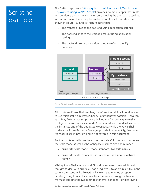# <span id="page-30-0"></span>Scripting example

<span id="page-30-1"></span>The GitHub repository [\(https://github.com/cloudbeatsch/Continuous-](https://github.com/cloudbeatsch/Continuous-Deployment-using-WAWS-Scripts)[Deployment-using-WAWS-Scripts\)](https://github.com/cloudbeatsch/Continuous-Deployment-using-WAWS-Scripts) provides example scripts that create and configure a web site and its resources using the approach described in this document. The examples are based on the solution structure shown in Figure 15. In this structure, note that:

- The frontend links to the backend using application settings.
- The backend links to the storage account using application settings.
- The backend uses a connection string to refer to the SQL database.



*Figure 15: Solution structure for example scripts in the GitHub repository*

All scripts are PowerShell cmdlets; therefore, the original intention was to use Microsoft Azure PowerShell scripts whenever possible. However, as of May 2014, these scripts were lacking the functionality to easily configure the web site scale mode (free, shared, and standard) as well as the instances size of the dedicated webspace. While the PowerShell cmdlets for Azure Resource Manager provide this capability, Resource Manager is still in preview and is not covered in this document.

So, the scripts actually use the **azure site scale** CLI commands to define the scale mode as well as the webspace instance size and number:

- **azure site scale mode --mode standard <website name>**
- **azure site scale instances --instances 4 --size small <website name>**

Mixing PowerShell cmdlets and CLI scripts requires some additional thought to deal with errors. CLI tools log errors to an azure.err file in the current directory, while PowerShell allows us to employ exception handling using try/catch clauses. Because we are mixing the two tools, we must combine the two methods for error handling. For identifying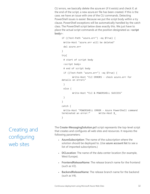CLI errors, we basically delete the azure.err (if it exists) and check if, at the end of the script, a new azure.err file has been created. If this is the case, we have an issue with one of the CLI commands. Detecting PowerShell issues is easier: Because we put the script body within a try clause, PowerShell exceptions will be automatically handled by the catch class. The PowerShell script below does exactly this. We just have to place the actual script commands at the position designated as **<script body>**:

```
if ((Test-Path "azure.err") -eq $True) {
 Write-Host "azure.err will be deleted"
 del azure.err
}
try{
 # start of script body
 <script body>
 # end of script body 
 if ((Test-Path "azure.err") -eq $True) {
        Write-Host "CLI ERRORS - check azure.err for 
details on errors"
 }
 else {
        Write-Host "CLI & POWERSHELL SUCCESS"
 }
}
catch {
 Write-Host "POWERSHELL ERROR - Azure PowerShell command 
terminated an error:" Write-Host $_
}
```
The **Create-MessagingSolution.ps1** script represents the top-level script that creates and configures all web sites and resources. It requires the following parameters:

- **AzureSubscription**: The name of the subscription where the solution should be deployed to. (Use **azure account list** to see a list of imported subscriptions.)
- **DCLocation**: The name of the data center location (for example, West Europe).
- **FrontendReleaseName**: The release branch name for the frontend (such as V2).
- **BackendReleaseName**: The release branch name for the backend (such as V4).

<span id="page-31-0"></span>Creating and configuring web sites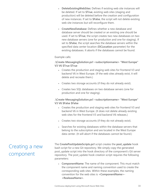- **DeleteExistingWebSites**: Defines if existing web site instances will be deleted. If set to **\$True**, existing web sites (staging and production) will be deleted before the creation and configuration of new instances. If set to **\$False**, the script will not delete existing web site instances but will reconfigure them.
- **CreateNewDatabase**: Defines whether a new database and database server should be created or an existing one should be used. If set to **\$True**, the script creates two new databases on two new database servers (one for production and one for staging). If set to **\$False**, the script searches the database servers within the specified data center location (**DCLocation** parameter) for the existing databases. It aborts if the databases cannot be found.

Example calls:

#### **.\Create-MessagingSolution.ps1 <subscriptionname> "West Europe" V3 V6 \$True \$True**

- Creates the production and staging web sites for frontend V3 and backend V6 in West Europe. (If the web sites already exist, it will delete and recreate them.)
- Creates two storage accounts (if they do not already exist).
- Creates two SQL databases on two database servers (one for production and one for staging).

#### **.\Create-MessagingSolution.ps1 <subscriptionname> "West Europe" V3 V6 \$False \$False**

- Creates the production and staging web sites for frontend V3 and backend V6 in West Europe. (It does not delete already existing web sites for the frontend V3 and backend V6 releases.)
- Creates two storage accounts (if they do not already exist).
- Searches for existing databases within the database servers that belong to the subscription and are located in the West Europe data center. (It will abort if the databases cannot be found.)

The **CreatePostUpdateScripts.ps1** script creates the **post\_update** hook bash script for a new Git repository. We simply copy the generated post\_update script into the hook directory of the component's Git server repository. The post update hook creation script requires the following parameters:

 **ComponentName**: The name of the component. This must match the component name and naming convention used to create the corresponding web sites. Within these examples, the naming convention for the web sites is **<ComponentName>- <RealeaseName>**.

### <span id="page-32-0"></span>Creating a new component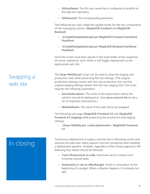- **GitUserName**: The Git user name that is configured to publish to the web site repository.
- **GitPassword**: The corresponding password.

The following two calls create the update hooks for the two components of the messaging solution (**MsgSolCB-Frontend** and **MsgSolCB-Backend**):

- **.\CreatePostUpdateScripts.ps1 MsgSolCB-Frontend UserName PassWord**
- **.\CreatePostUpdateScripts.ps1 MsgSolCB-Backend UserName PassWord**

Once the scripts have been placed in the hook folder of the respective Git server repository, each check-in will trigger deployment to the appropriate web site.

The **Swap-WebSite.ps1** script can be used to swap the staging and production slots while preserving the slot settings. (The original production settings remain with the new production slot, and the original staging settings remain with the new staging slot.) The script requires the following parameters:

- **AzureSubscription**: The name of the subscription where the solution should be deployed to. (Use **azure account list** to see a list of imported subscriptions.)
- **WebSiteName**: The name of the web site to be swapped.

The following call swaps **MsgSolCB-Frontend-V3** with **MsgSolCB-Frontend-V3 (staging)** while preserving the production and staging settings:

 **.\Swap-WebSite.ps1 <subscriptionname> MsgSolCB-Frontend-V3**

# <span id="page-33-1"></span>In closing

Continuous deployment occupies a central role in delivering world-class services and web sites. Many aspects must be considered when building a deployment pipeline. However, regardless of the chosen approach, the following four tenets should be followed:

- **Treat infrastructure as code**: Automate service creation and minimize manual tasks.
- **Automation is not an afterthought**: Invest in automation at the beginning of a project. When a disaster happens, it is already too late.

#### <span id="page-33-0"></span>Swapping a web site